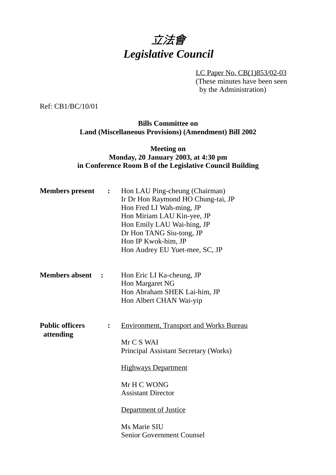

LC Paper No. CB(1)853/02-03 (These minutes have been seen by the Administration)

Ref: CB1/BC/10/01

## **Bills Committee on Land (Miscellaneous Provisions) (Amendment) Bill 2002**

## **Meeting on Monday, 20 January 2003, at 4:30 pm in Conference Room B of the Legislative Council Building**

| <b>Members</b> present              | $\ddot{\cdot}$ | Hon LAU Ping-cheung (Chairman)<br>Ir Dr Hon Raymond HO Chung-tai, JP<br>Hon Fred LI Wah-ming, JP<br>Hon Miriam LAU Kin-yee, JP<br>Hon Emily LAU Wai-hing, JP<br>Dr Hon TANG Siu-tong, JP<br>Hon IP Kwok-him, JP<br>Hon Audrey EU Yuet-mee, SC, JP                   |
|-------------------------------------|----------------|---------------------------------------------------------------------------------------------------------------------------------------------------------------------------------------------------------------------------------------------------------------------|
| <b>Members absent</b>               |                | Hon Eric LI Ka-cheung, JP<br>Hon Margaret NG<br>Hon Abraham SHEK Lai-him, JP<br>Hon Albert CHAN Wai-yip                                                                                                                                                             |
| <b>Public officers</b><br>attending | $\ddot{\cdot}$ | <b>Environment, Transport and Works Bureau</b><br>Mr C S WAI<br>Principal Assistant Secretary (Works)<br><b>Highways Department</b><br>Mr H C WONG<br><b>Assistant Director</b><br><b>Department of Justice</b><br>Ms Marie SIU<br><b>Senior Government Counsel</b> |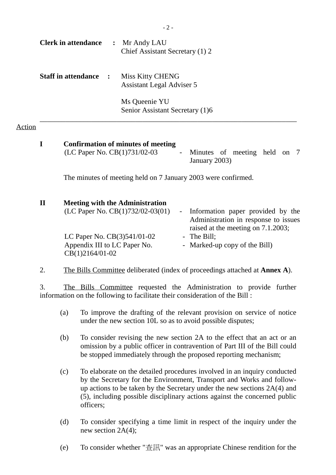|               |              |                              | <b>Clerk in attendance : Mr Andy LAU</b><br>Chief Assistant Secretary (1) 2                                                                                                                                                                                                                         |
|---------------|--------------|------------------------------|-----------------------------------------------------------------------------------------------------------------------------------------------------------------------------------------------------------------------------------------------------------------------------------------------------|
|               |              | <b>Staff in attendance :</b> | <b>Miss Kitty CHENG</b><br>Assistant Legal Adviser 5                                                                                                                                                                                                                                                |
|               |              |                              | Ms Queenie YU<br>Senior Assistant Secretary (1)6                                                                                                                                                                                                                                                    |
| <u>Action</u> |              |                              |                                                                                                                                                                                                                                                                                                     |
|               | I            |                              | <b>Confirmation of minutes of meeting</b><br>(LC Paper No. CB(1)731/02-03<br>Minutes of meeting held on 7<br>$\blacksquare$<br>January 2003)                                                                                                                                                        |
|               |              |                              | The minutes of meeting held on 7 January 2003 were confirmed.                                                                                                                                                                                                                                       |
|               | $\mathbf{I}$ |                              | <b>Meeting with the Administration</b><br>(LC Paper No. $CB(1)732/02-03(01)$ )<br>Information paper provided by the<br>$\equiv$<br>Administration in response to issues<br>$\therefore$ $\exists$ $\bot$ $\bot$ $\bot$ $\ldots$ $\bot$ $\vdots$ $\bot$ $\exists$ $\bot$ $\cap$ $\cap$ $\cap$ $\bot$ |

- raised at the meeting on 7.1.2003; LC Paper No.  $CB(3)541/01-02$  - The Bill; Appendix III to LC Paper No. CB(1)2164/01-02 - Marked-up copy of the Bill)
- 2. The Bills Committee deliberated (index of proceedings attached at **Annex A**).

3. The Bills Committee requested the Administration to provide further information on the following to facilitate their consideration of the Bill :

- (a) To improve the drafting of the relevant provision on service of notice under the new section 10L so as to avoid possible disputes;
- (b) To consider revising the new section 2A to the effect that an act or an omission by a public officer in contravention of Part III of the Bill could be stopped immediately through the proposed reporting mechanism;
- (c) To elaborate on the detailed procedures involved in an inquiry conducted by the Secretary for the Environment, Transport and Works and followup actions to be taken by the Secretary under the new sections 2A(4) and (5), including possible disciplinary actions against the concerned public officers;
- (d) To consider specifying a time limit in respect of the inquiry under the new section 2A(4);
- (e) To consider whether " $\hat{\Phi}$   $\hat{H}$ " was an appropriate Chinese rendition for the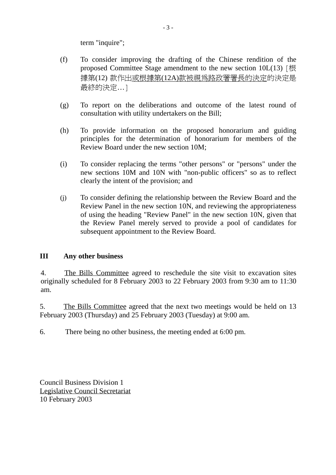term "inquire";

- (f) To consider improving the drafting of the Chinese rendition of the proposed Committee Stage amendment to the new section  $10L(13)$  [根 據第(12) 款作出或根據第(12A)款被視為路政署署長的決定的決定是 最終的決定…]
- (g) To report on the deliberations and outcome of the latest round of consultation with utility undertakers on the Bill;
- (h) To provide information on the proposed honorarium and guiding principles for the determination of honorarium for members of the Review Board under the new section 10M;
- (i) To consider replacing the terms "other persons" or "persons" under the new sections 10M and 10N with "non-public officers" so as to reflect clearly the intent of the provision; and
- (j) To consider defining the relationship between the Review Board and the Review Panel in the new section 10N, and reviewing the appropriateness of using the heading "Review Panel" in the new section 10N, given that the Review Panel merely served to provide a pool of candidates for subsequent appointment to the Review Board.

## **III Any other business**

4. The Bills Committee agreed to reschedule the site visit to excavation sites originally scheduled for 8 February 2003 to 22 February 2003 from 9:30 am to 11:30 am.

5. The Bills Committee agreed that the next two meetings would be held on 13 February 2003 (Thursday) and 25 February 2003 (Tuesday) at 9:00 am.

6. There being no other business, the meeting ended at 6:00 pm.

Council Business Division 1 Legislative Council Secretariat 10 February 2003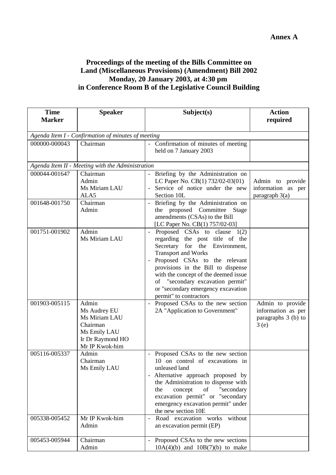## **Proceedings of the meeting of the Bills Committee on Land (Miscellaneous Provisions) (Amendment) Bill 2002 Monday, 20 January 2003, at 4:30 pm in Conference Room B of the Legislative Council Building**

| <b>Time</b>   | <b>Speaker</b>                                     | Subject(s)                                                               | <b>Action</b>       |
|---------------|----------------------------------------------------|--------------------------------------------------------------------------|---------------------|
| <b>Marker</b> |                                                    |                                                                          | required            |
|               |                                                    |                                                                          |                     |
|               | Agenda Item I - Confirmation of minutes of meeting |                                                                          |                     |
| 000000-000043 | Chairman                                           | Confirmation of minutes of meeting                                       |                     |
|               |                                                    | held on 7 January 2003                                                   |                     |
|               | Agenda Item II - Meeting with the Administration   |                                                                          |                     |
| 000044-001647 | Chairman                                           | - Briefing by the Administration on                                      |                     |
|               | Admin                                              | LC Paper No. CB(1) 732/02-03(01)                                         | Admin to provide    |
|               | Ms Miriam LAU                                      | Service of notice under the new                                          | information as per  |
|               | ALA5                                               | Section 10L                                                              | paragraph $3(a)$    |
| 001648-001750 | Chairman                                           | Briefing by the Administration on                                        |                     |
|               | Admin                                              | the proposed Committee<br>Stage                                          |                     |
|               |                                                    | amendments (CSAs) to the Bill                                            |                     |
|               |                                                    | [LC Paper No. CB(1) 757/02-03]                                           |                     |
| 001751-001902 | Admin                                              | Proposed CSAs to clause 1(2)                                             |                     |
|               | Ms Miriam LAU                                      | regarding the post title of the                                          |                     |
|               |                                                    | Secretary for the Environment,                                           |                     |
|               |                                                    | <b>Transport and Works</b>                                               |                     |
|               |                                                    | Proposed CSAs to the relevant                                            |                     |
|               |                                                    | provisions in the Bill to dispense                                       |                     |
|               |                                                    | with the concept of the deemed issue<br>of "secondary excavation permit" |                     |
|               |                                                    | or "secondary emergency excavation                                       |                     |
|               |                                                    | permit" to contractors                                                   |                     |
| 001903-005115 | Admin                                              | Proposed CSAs to the new section                                         | Admin to provide    |
|               | Ms Audrey EU                                       | 2A "Application to Government"                                           | information as per  |
|               | Ms Miriam LAU                                      |                                                                          | paragraphs 3 (b) to |
|               | Chairman                                           |                                                                          | 3(e)                |
|               | Ms Emily LAU                                       |                                                                          |                     |
|               | Ir Dr Raymond HO                                   |                                                                          |                     |
|               | Mr IP Kwok-him                                     |                                                                          |                     |
| 005116-005337 | Admin                                              | Proposed CSAs to the new section                                         |                     |
|               | Chairman                                           | 10 on control of excavations in                                          |                     |
|               | Ms Emily LAU                                       | unleased land                                                            |                     |
|               |                                                    | Alternative approach proposed by<br>$\overline{\phantom{a}}$             |                     |
|               |                                                    | the Administration to dispense with<br>of<br>the                         |                     |
|               |                                                    | concept<br>"secondary<br>excavation permit" or "secondary                |                     |
|               |                                                    | emergency excavation permit" under                                       |                     |
|               |                                                    | the new section 10E                                                      |                     |
| 005338-005452 | Mr IP Kwok-him                                     | without<br>Road excavation works                                         |                     |
|               | Admin                                              | an excavation permit (EP)                                                |                     |
|               |                                                    |                                                                          |                     |
| 005453-005944 | Chairman                                           | Proposed CSAs to the new sections<br>$\blacksquare$                      |                     |
|               | Admin                                              | $10A(4)(b)$ and $10B(7)(b)$ to make                                      |                     |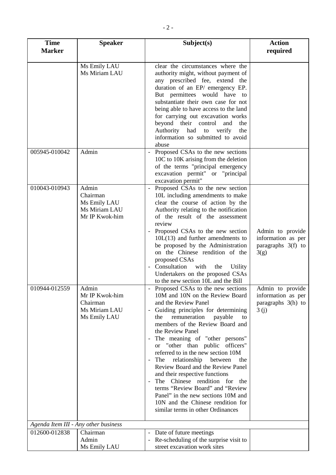| <b>Time</b>   | <b>Speaker</b>                                                       | Subject(s)                                                                                                                                                                                                                                                                                                                                                                                                                                                                                                                                                                                                                                                           | <b>Action</b>                                                          |
|---------------|----------------------------------------------------------------------|----------------------------------------------------------------------------------------------------------------------------------------------------------------------------------------------------------------------------------------------------------------------------------------------------------------------------------------------------------------------------------------------------------------------------------------------------------------------------------------------------------------------------------------------------------------------------------------------------------------------------------------------------------------------|------------------------------------------------------------------------|
| <b>Marker</b> |                                                                      |                                                                                                                                                                                                                                                                                                                                                                                                                                                                                                                                                                                                                                                                      | required                                                               |
|               | Ms Emily LAU<br>Ms Miriam LAU                                        | clear the circumstances where the<br>authority might, without payment of<br>any prescribed fee, extend the<br>duration of an EP/ emergency EP.<br>But permittees would have to<br>substantiate their own case for not<br>being able to have access to the land<br>for carrying out excavation works<br>beyond their control<br>and<br>the<br>Authority had to verify<br>the<br>information so submitted to avoid<br>abuse                                                                                                                                                                                                                                            |                                                                        |
| 005945-010042 | Admin                                                                | Proposed CSAs to the new sections<br>10C to 10K arising from the deletion<br>of the terms "principal emergency<br>excavation permit" or "principal<br>excavation permit"                                                                                                                                                                                                                                                                                                                                                                                                                                                                                             |                                                                        |
| 010043-010943 | Admin<br>Chairman<br>Ms Emily LAU<br>Ms Miriam LAU<br>Mr IP Kwok-him | Proposed CSAs to the new section<br>10L including amendments to make<br>clear the course of action by the<br>Authority relating to the notification<br>of the result of the assessment<br>review<br>Proposed CSAs to the new section<br>$10L(13)$ and further amendments to<br>be proposed by the Administration<br>on the Chinese rendition of the<br>proposed CSAs<br>Consultation<br>with<br>the<br>Utility<br>Undertakers on the proposed CSAs<br>to the new section 10L and the Bill                                                                                                                                                                            | Admin to provide<br>information as per<br>paragraphs 3(f) to<br>3(g)   |
| 010944-012559 | Admin<br>Mr IP Kwok-him<br>Chairman<br>Ms Miriam LAU<br>Ms Emily LAU | Proposed CSAs to the new sections<br>10M and 10N on the Review Board<br>and the Review Panel<br>Guiding principles for determining<br>remuneration payable<br>the<br>to<br>members of the Review Board and<br>the Review Panel<br>The meaning of "other persons"<br>$\overline{\phantom{a}}$<br>or "other than public officers"<br>referred to in the new section 10M<br>The relationship between<br>the<br>Review Board and the Review Panel<br>and their respective functions<br>The Chinese rendition for the<br>terms "Review Board" and "Review<br>Panel" in the new sections 10M and<br>10N and the Chinese rendition for<br>similar terms in other Ordinances | Admin to provide<br>information as per<br>paragraphs $3(h)$ to<br>3(j) |
| 012600-012838 | Agenda Item III - Any other business<br>Chairman                     | - Date of future meetings                                                                                                                                                                                                                                                                                                                                                                                                                                                                                                                                                                                                                                            |                                                                        |
|               | Admin<br>Ms Emily LAU                                                | - Re-scheduling of the surprise visit to<br>street excavation work sites                                                                                                                                                                                                                                                                                                                                                                                                                                                                                                                                                                                             |                                                                        |